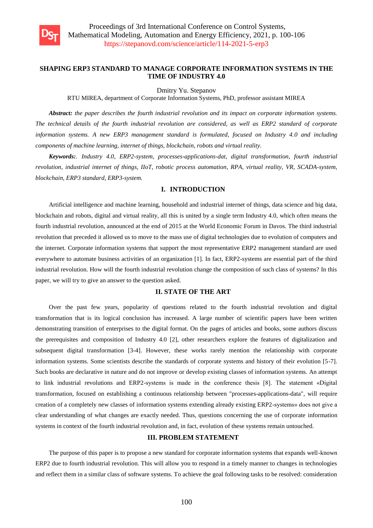

### **SHAPING ERP3 STANDARD TO MANAGE CORPORATE INFORMATION SYSTEMS IN THE TIME OF INDUSTRY 4.0**

Dmitry Yu. Stepanov

RTU MIREA, department of Corporate Information Systems, PhD, professor assistant MIREA

*Abstract: the paper describes the fourth industrial revolution and its impact on corporate information systems. The technical details of the fourth industrial revolution are considered, as well as ERP2 standard of corporate information systems. A new ERP3 management standard is formulated, focused on Industry 4.0 and including components of machine learning, internet of things, blockchain, robots and virtual reality.*

*Keywords:. Industry 4.0, ERP2-system, processes-applications-dat, digital transformation, fourth industrial revolution, industrial internet of things, IIoT, robotic process automation, RPA, virtual reality, VR, SCADA-system, blockchain, ERP3 standard, ERP3-system.*

## **I. INTRODUCTION**

Artificial intelligence and machine learning, household and industrial internet of things, data science and big data, blockchain and robots, digital and virtual reality, all this is united by a single term Industry 4.0, which often means the fourth industrial revolution, announced at the end of 2015 at the World Economic Forum in Davos. The third industrial revolution that preceded it allowed us to move to the mass use of digital technologies due to evolution of computers and the internet. Corporate information systems that support the most representative ERP2 management standard are used everywhere to automate business activities of an organization [1]. In fact, ERP2-systems are essential part of the third industrial revolution. How will the fourth industrial revolution change the composition of such class of systems? In this paper, we will try to give an answer to the question asked.

### **II. STATE OF THE ART**

Over the past few years, popularity of questions related to the fourth industrial revolution and digital transformation that is its logical conclusion has increased. A large number of scientific papers have been written demonstrating transition of enterprises to the digital format. On the pages of articles and books, some authors discuss the prerequisites and composition of Industry 4.0 [2], other researchers explore the features of digitalization and subsequent digital transformation [3-4]. However, these works rarely mention the relationship with corporate information systems. Some scientists describe the standards of corporate systems and history of their evolution [5-7]. Such books are declarative in nature and do not improve or develop existing classes of information systems. An attempt to link industrial revolutions and ERP2-systems is made in the conference thesis [8]. The statement «Digital transformation, focused on establishing a continuous relationship between "processes-applications-data", will require creation of a completely new classes of information systems extending already existing ERP2-systems» does not give a clear understanding of what changes are exactly needed. Thus, questions concerning the use of corporate information systems in context of the fourth industrial revolution and, in fact, evolution of these systems remain untouched.

#### **III. PROBLEM STATEMENT**

The purpose of this paper is to propose a new standard for corporate information systems that expands well-known ERP2 due to fourth industrial revolution. This will allow you to respond in a timely manner to changes in technologies and reflect them in a similar class of software systems. To achieve the goal following tasks to be resolved: consideration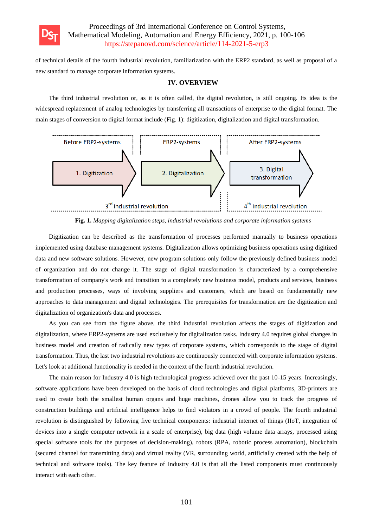

of technical details of the fourth industrial revolution, familiarization with the ERP2 standard, as well as proposal of a new standard to manage corporate information systems.

#### **IV. OVERVIEW**

The third industrial revolution or, as it is often called, the digital revolution, is still ongoing. Its idea is the widespread replacement of analog technologies by transferring all transactions of enterprise to the digital format. The main stages of conversion to digital format include (Fig. 1): digitization, digitalization and digital transformation.



**Fig. 1.** *Mapping digitalization steps, industrial revolutions and corporate information systems*

Digitization can be described as the transformation of processes performed manually to business operations implemented using database management systems. Digitalization allows optimizing business operations using digitized data and new software solutions. However, new program solutions only follow the previously defined business model of organization and do not change it. The stage of digital transformation is characterized by a comprehensive transformation of company's work and transition to a completely new business model, products and services, business and production processes, ways of involving suppliers and customers, which are based on fundamentally new approaches to data management and digital technologies. The prerequisites for transformation are the digitization and digitalization of organization's data and processes.

As you can see from the figure above, the third industrial revolution affects the stages of digitization and digitalization, where ERP2-systems are used exclusively for digitalization tasks. Industry 4.0 requires global changes in business model and creation of radically new types of corporate systems, which corresponds to the stage of digital transformation. Thus, the last two industrial revolutions are continuously connected with corporate information systems. Let's look at additional functionality is needed in the context of the fourth industrial revolution.

The main reason for Industry 4.0 is high technological progress achieved over the past 10-15 years. Increasingly, software applications have been developed on the basis of cloud technologies and digital platforms, 3D-printers are used to create both the smallest human organs and huge machines, drones allow you to track the progress of construction buildings and artificial intelligence helps to find violators in a crowd of people. The fourth industrial revolution is distinguished by following five technical components: industrial internet of things (IIoT, integration of devices into a single computer network in a scale of enterprise), big data (high volume data arrays, processed using special software tools for the purposes of decision-making), robots (RPA, robotic process automation), blockchain (secured channel for transmitting data) and virtual reality (VR, surrounding world, artificially created with the help of technical and software tools). The key feature of Industry 4.0 is that all the listed components must continuously interact with each other.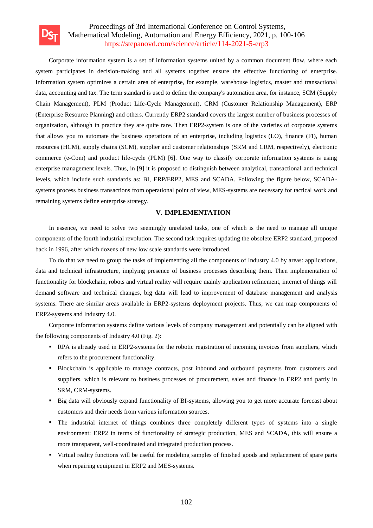

Corporate information system is a set of information systems united by a common document flow, where each system participates in decision-making and all systems together ensure the effective functioning of enterprise. Information system optimizes a certain area of enterprise, for example, warehouse logistics, master and transactional data, accounting and tax. The term standard is used to define the company's automation area, for instance, SCM (Supply Chain Management), PLM (Product Life-Cycle Management), CRM (Customer Relationship Management), ERP (Enterprise Resource Planning) and others. Currently ERP2 standard covers the largest number of business processes of organization, although in practice they are quite rare. Then ERP2-system is one of the varieties of corporate systems that allows you to automate the business operations of an enterprise, including logistics (LO), finance (FI), human resources (HCM), supply chains (SCM), supplier and customer relationships (SRM and CRM, respectively), electronic commerce (e-Com) and product life-cycle (PLM) [6]. One way to classify corporate information systems is using enterprise management levels. Thus, in [9] it is proposed to distinguish between analytical, transactional and technical levels, which include such standards as: BI, ERP/ERP2, MES and SCADA. Following the figure below, SCADAsystems process business transactions from operational point of view, MES-systems are necessary for tactical work and remaining systems define enterprise strategy.

### **V. IMPLEMENTATION**

In essence, we need to solve two seemingly unrelated tasks, one of which is the need to manage all unique components of the fourth industrial revolution. The second task requires updating the obsolete ERP2 standard, proposed back in 1996, after which dozens of new low scale standards were introduced.

To do that we need to group the tasks of implementing all the components of Industry 4.0 by areas: applications, data and technical infrastructure, implying presence of business processes describing them. Then implementation of functionality for blockchain, robots and virtual reality will require mainly application refinement, internet of things will demand software and technical changes, big data will lead to improvement of database management and analysis systems. There are similar areas available in ERP2-systems deployment projects. Thus, we can map components of ERP2-systems and Industry 4.0.

Corporate information systems define various levels of company management and potentially can be aligned with the following components of Industry 4.0 (Fig. 2):

- RPA is already used in ERP2-systems for the robotic registration of incoming invoices from suppliers, which refers to the procurement functionality.
- Blockchain is applicable to manage contracts, post inbound and outbound payments from customers and suppliers, which is relevant to business processes of procurement, sales and finance in ERP2 and partly in SRM, CRM-systems.
- Big data will obviously expand functionality of BI-systems, allowing you to get more accurate forecast about customers and their needs from various information sources.
- The industrial internet of things combines three completely different types of systems into a single environment: ERP2 in terms of functionality of strategic production, MES and SCADA, this will ensure a more transparent, well-coordinated and integrated production process.
- Virtual reality functions will be useful for modeling samples of finished goods and replacement of spare parts when repairing equipment in ERP2 and MES-systems.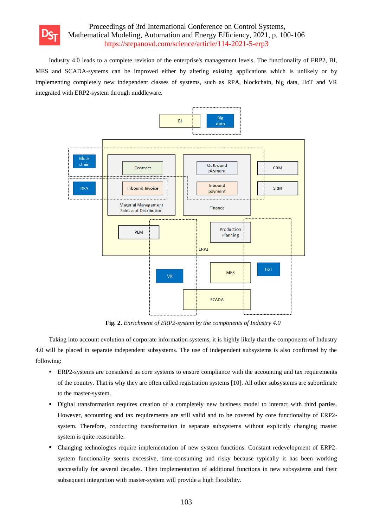

Industry 4.0 leads to a complete revision of the enterprise's management levels. The functionality of ERP2, BI, MES and SCADA-systems can be improved either by altering existing applications which is unlikely or by implementing completely new independent classes of systems, such as RPA, blockchain, big data, IIoT and VR integrated with ERP2-system through middleware.



**Fig. 2.** *Enrichment of ERP2-system by the components of Industry 4.0*

Taking into account evolution of corporate information systems, it is highly likely that the components of Industry 4.0 will be placed in separate independent subsystems. The use of independent subsystems is also confirmed by the following:

- ERP2-systems are considered as core systems to ensure compliance with the accounting and tax requirements of the country. That is why they are often called registration systems [10]. All other subsystems are subordinate to the master-system.
- Digital transformation requires creation of a completely new business model to interact with third parties. However, accounting and tax requirements are still valid and to be covered by core functionality of ERP2 system. Therefore, conducting transformation in separate subsystems without explicitly changing master system is quite reasonable.
- Changing technologies require implementation of new system functions. Constant redevelopment of ERP2 system functionality seems excessive, time-consuming and risky because typically it has been working successfully for several decades. Then implementation of additional functions in new subsystems and their subsequent integration with master-system will provide a high flexibility.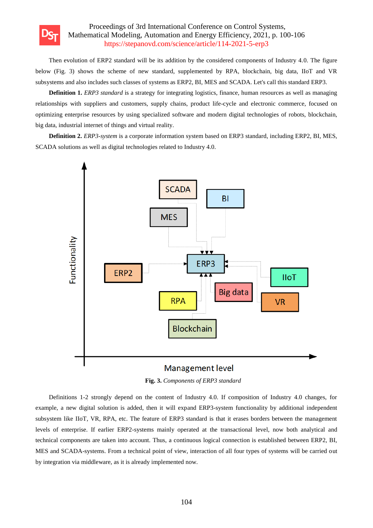

Then evolution of ERP2 standard will be its addition by the considered components of Industry 4.0. The figure below (Fig. 3) shows the scheme of new standard, supplemented by RPA, blockchain, big data, IIoT and VR subsystems and also includes such classes of systems as ERP2, BI, MES and SCADA. Let's call this standard ERP3.

**Definition 1.** *ERP3 standard* is a strategy for integrating logistics, finance, human resources as well as managing relationships with suppliers and customers, supply chains, product life-cycle and electronic commerce, focused on optimizing enterprise resources by using specialized software and modern digital technologies of robots, blockchain, big data, industrial internet of things and virtual reality.

**Definition 2.** *ERP3-system* is a corporate information system based on ERP3 standard, including ERP2, BI, MES, SCADA solutions as well as digital technologies related to Industry 4.0.





Definitions 1-2 strongly depend on the content of Industry 4.0. If composition of Industry 4.0 changes, for example, a new digital solution is added, then it will expand ERP3-system functionality by additional independent subsystem like IIoT, VR, RPA, etc. The feature of ERP3 standard is that it erases borders between the management levels of enterprise. If earlier ERP2-systems mainly operated at the transactional level, now both analytical and technical components are taken into account. Thus, a continuous logical connection is established between ERP2, BI, MES and SCADA-systems. From a technical point of view, interaction of all four types of systems will be carried out by integration via middleware, as it is already implemented now.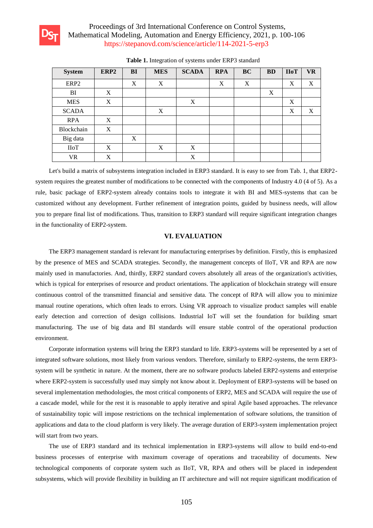

| <b>System</b>    | ERP <sub>2</sub> | BI | <b>MES</b> | <b>SCADA</b> | <b>RPA</b> | <b>BC</b>        | <b>BD</b> | <b>HoT</b> | <b>VR</b> |
|------------------|------------------|----|------------|--------------|------------|------------------|-----------|------------|-----------|
| ERP <sub>2</sub> |                  | X  | X          |              | X          | $\boldsymbol{X}$ |           | X          | X         |
| BI               | X                |    |            |              |            |                  | X         |            |           |
| <b>MES</b>       | X                |    |            | X            |            |                  |           | X          |           |
| <b>SCADA</b>     |                  |    | X          |              |            |                  |           | X          | X         |
| <b>RPA</b>       | X                |    |            |              |            |                  |           |            |           |
| Blockchain       | X                |    |            |              |            |                  |           |            |           |
| Big data         |                  | X  |            |              |            |                  |           |            |           |
| IIoT             | X                |    | X          | X            |            |                  |           |            |           |
| <b>VR</b>        | X                |    |            | X            |            |                  |           |            |           |

**Table 1.** Integration of systems under ERP3 standard

Let's build a matrix of subsystems integration included in ERP3 standard. It is easy to see from Tab. 1, that ERP2 system requires the greatest number of modifications to be connected with the components of Industry 4.0 (4 of 5). As a rule, basic package of ERP2-system already contains tools to integrate it with BI and MES-systems that can be customized without any development. Further refinement of integration points, guided by business needs, will allow you to prepare final list of modifications. Thus, transition to ERP3 standard will require significant integration changes in the functionality of ERP2-system.

## **VI. EVALUATION**

The ERP3 management standard is relevant for manufacturing enterprises by definition. Firstly, this is emphasized by the presence of MES and SCADA strategies. Secondly, the management concepts of IIoT, VR and RPA are now mainly used in manufactories. And, thirdly, ERP2 standard covers absolutely all areas of the organization's activities, which is typical for enterprises of resource and product orientations. The application of blockchain strategy will ensure continuous control of the transmitted financial and sensitive data. The concept of RPA will allow you to minimize manual routine operations, which often leads to errors. Using VR approach to visualize product samples will enable early detection and correction of design collisions. Industrial IoT will set the foundation for building smart manufacturing. The use of big data and BI standards will ensure stable control of the operational production environment.

Corporate information systems will bring the ERP3 standard to life. ERP3-systems will be represented by a set of integrated software solutions, most likely from various vendors. Therefore, similarly to ERP2-systems, the term ERP3 system will be synthetic in nature. At the moment, there are no software products labeled ERP2-systems and enterprise where ERP2-system is successfully used may simply not know about it. Deployment of ERP3-systems will be based on several implementation methodologies, the most critical components of ERP2, MES and SCADA will require the use of a cascade model, while for the rest it is reasonable to apply iterative and spiral Agile based approaches. The relevance of sustainability topic will impose restrictions on the technical implementation of software solutions, the transition of applications and data to the cloud platform is very likely. The average duration of ERP3-system implementation project will start from two years.

The use of ERP3 standard and its technical implementation in ERP3-systems will allow to build end-to-end business processes of enterprise with maximum coverage of operations and traceability of documents. New technological components of corporate system such as IIoT, VR, RPA and others will be placed in independent subsystems, which will provide flexibility in building an IT architecture and will not require significant modification of